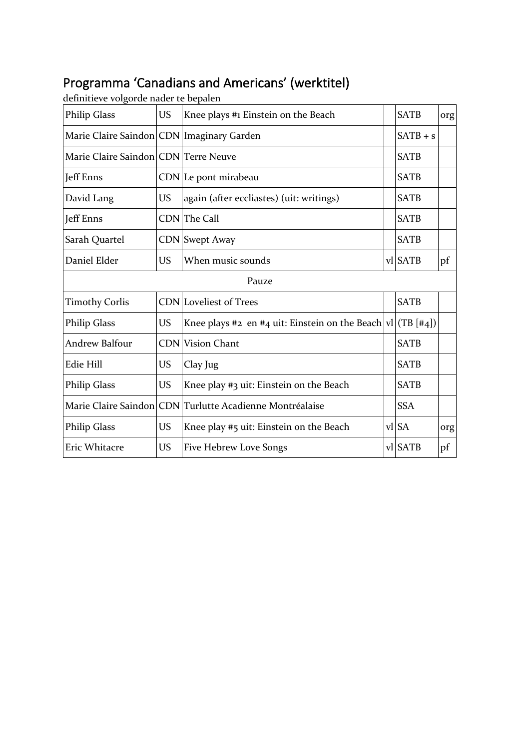## Programma 'Canadians and Americans' (werktitel)

| <b>Philip Glass</b>                  | <b>US</b>                                 | Knee plays #1 Einstein on the Beach                             |  | <b>SATB</b> | org |  |
|--------------------------------------|-------------------------------------------|-----------------------------------------------------------------|--|-------------|-----|--|
|                                      | Marie Claire Saindon CDN Imaginary Garden |                                                                 |  | $SATB + s$  |     |  |
| Marie Claire Saindon CDN Terre Neuve |                                           |                                                                 |  | <b>SATB</b> |     |  |
| <b>Jeff Enns</b>                     |                                           | CDN Le pont mirabeau                                            |  | <b>SATB</b> |     |  |
| David Lang                           | <b>US</b>                                 | again (after eccliastes) (uit: writings)                        |  | <b>SATB</b> |     |  |
| Jeff Enns                            |                                           | CDN The Call                                                    |  | <b>SATB</b> |     |  |
| Sarah Quartel                        |                                           | <b>CDN</b> Swept Away                                           |  | <b>SATB</b> |     |  |
| Daniel Elder                         | <b>US</b>                                 | When music sounds                                               |  | vl SATB     | pf  |  |
| Pauze                                |                                           |                                                                 |  |             |     |  |
| <b>Timothy Corlis</b>                |                                           | <b>CDN</b> Loveliest of Trees                                   |  | <b>SATB</b> |     |  |
| <b>Philip Glass</b>                  | <b>US</b>                                 | Knee plays #2 en #4 uit: Einstein on the Beach $ v1 $ (TB [#4]) |  |             |     |  |
| <b>Andrew Balfour</b>                |                                           | <b>CDN</b> Vision Chant                                         |  | <b>SATB</b> |     |  |
| <b>Edie Hill</b>                     | <b>US</b>                                 | Clay Jug                                                        |  | <b>SATB</b> |     |  |
| <b>Philip Glass</b>                  | <b>US</b>                                 | Knee play #3 uit: Einstein on the Beach                         |  | <b>SATB</b> |     |  |
|                                      |                                           | Marie Claire Saindon CDN Turlutte Acadienne Montréalaise        |  | <b>SSA</b>  |     |  |
| <b>Philip Glass</b>                  | <b>US</b>                                 | Knee play #5 uit: Einstein on the Beach                         |  | vl SA       | org |  |
| Eric Whitacre                        | <b>US</b>                                 | Five Hebrew Love Songs                                          |  | vl SATB     | pf  |  |

definitieve volgorde nader te bepalen